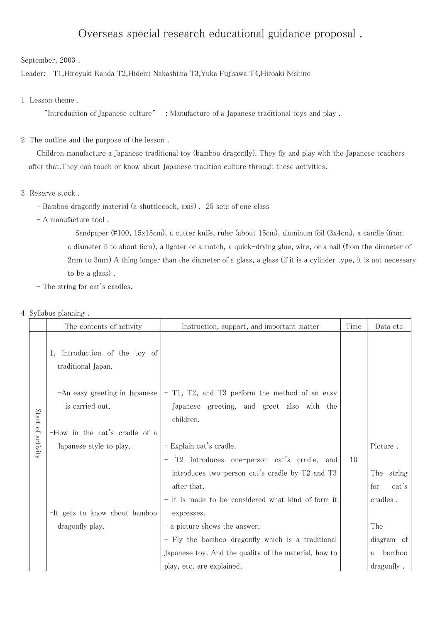## Overseas special research educational guidance proposal .

September, 2003 .

Leader: T1,Hiroyuki Kanda T2,Hidemi Nakashima T3,Yuka Fujisawa T4,Hiroaki Nishino

## 1 Lesson theme .

"Introduction of Japanese culture" : Manufacture of a Japanese traditional toys and play .

## 2 The outline and the purpose of the lesson .

Children manufacture a Japanese traditional toy (bamboo dragonfly). They fly and play with the Japanese teachers after that.They can touch or know about Japanese tradition culture through these activities.

- 3 Reserve stock .
	- Bamboo dragonfly material (a shuttlecock, axis) . 25 sets of one class
	- A manufacture tool .

Sandpaper (#100, 15x15cm), a cutter knife, ruler (about 15cm), aluminum foil (3x4cm), a candle (from a diameter 5 to about 6cm), a lighter or a match, a quick-drying glue, wire, or a nail (from the diameter of 2mm to 3mm) A thing longer than the diameter of a glass, a glass (if it is a cylinder type, it is not necessary to be a glass) .

- The string for cat's cradles.
- 4 Syllabus planning .

|                      | The contents of activity                            | Instruction, support, and important matter              | Time | Data etc      |
|----------------------|-----------------------------------------------------|---------------------------------------------------------|------|---------------|
| Start<br>of activity | 1, Introduction of the toy of<br>traditional Japan. |                                                         |      |               |
|                      | -An easy greeting in Japanese                       | - T1, T2, and T3 perform the method of an easy          |      |               |
|                      | is carried out.                                     | Japanese greeting, and greet also with the<br>children. |      |               |
|                      | -How in the cat's cradle of a                       |                                                         |      |               |
|                      | Japanese style to play.                             | $-$ Explain cat's cradle.                               |      | Picture.      |
|                      |                                                     | T2 introduces one-person cat's cradle, and              | 10   |               |
|                      |                                                     | introduces two-person cat's cradle by T2 and T3         |      | The<br>string |
|                      |                                                     | after that.                                             |      | cat's<br>for  |
|                      |                                                     | - It is made to be considered what kind of form it      |      | cradles.      |
|                      | -It gets to know about bamboo                       | expresses.                                              |      |               |
|                      | dragonfly play.                                     | - a picture shows the answer.                           |      | The           |
|                      |                                                     | - Fly the bamboo dragonfly which is a traditional       |      | diagram of    |
|                      |                                                     | Japanese toy. And the quality of the material, how to   |      | bamboo<br>a   |
|                      |                                                     | play, etc. are explained.                               |      | dragonfly.    |